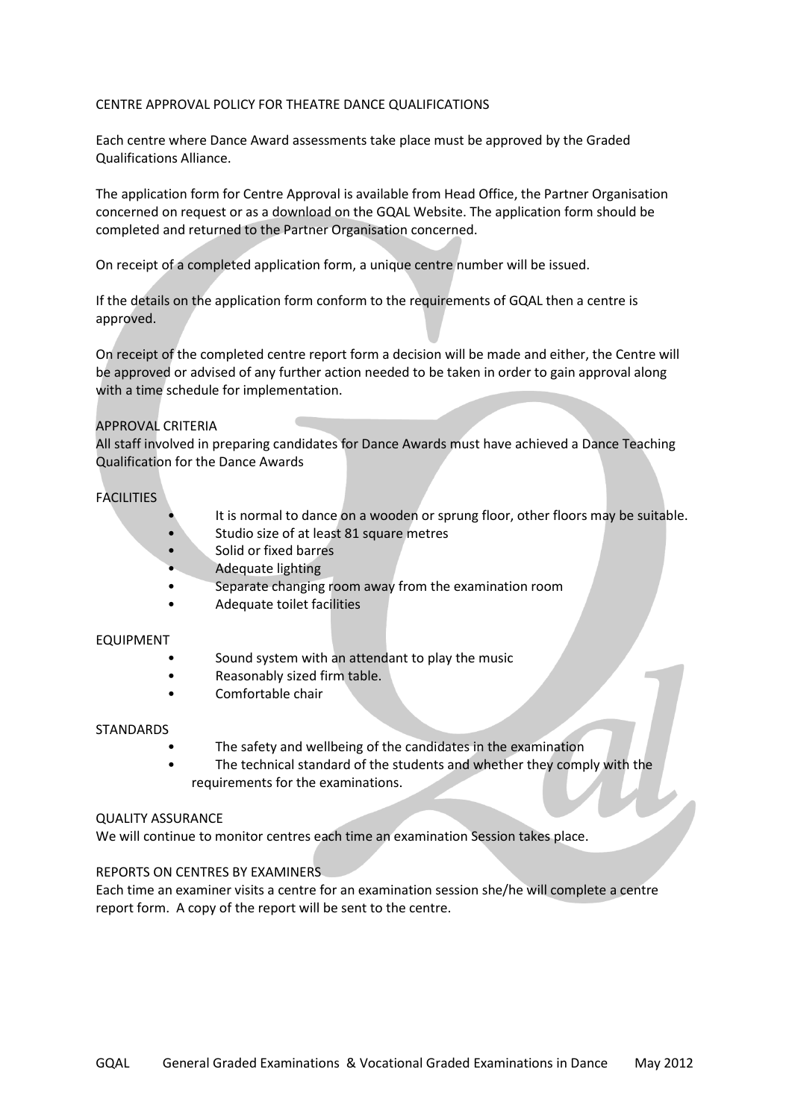### CENTRE APPROVAL POLICY FOR THEATRE DANCE QUALIFICATIONS

Each centre where Dance Award assessments take place must be approved by the Graded Qualifications Alliance.

The application form for Centre Approval is available from Head Office, the Partner Organisation concerned on request or as a download on the GQAL Website. The application form should be completed and returned to the Partner Organisation concerned.

On receipt of a completed application form, a unique centre number will be issued.

If the details on the application form conform to the requirements of GQAL then a centre is approved.

On receipt of the completed centre report form a decision will be made and either, the Centre will be approved or advised of any further action needed to be taken in order to gain approval along with a time schedule for implementation.

#### APPROVAL CRITERIA

All staff involved in preparing candidates for Dance Awards must have achieved a Dance Teaching Qualification for the Dance Awards

### FACILITIES

- It is normal to dance on a wooden or sprung floor, other floors may be suitable.
- Studio size of at least 81 square metres
- Solid or fixed barres
- Adequate lighting
- Separate changing room away from the examination room
- Adequate toilet facilities

#### EQUIPMENT

- Sound system with an attendant to play the music
- Reasonably sized firm table.
- Comfortable chair

#### STANDARDS

- The safety and wellbeing of the candidates in the examination
- The technical standard of the students and whether they comply with the requirements for the examinations.

#### QUALITY ASSURANCE

We will continue to monitor centres each time an examination Session takes place.

### REPORTS ON CENTRES BY EXAMINERS

Each time an examiner visits a centre for an examination session she/he will complete a centre report form. A copy of the report will be sent to the centre.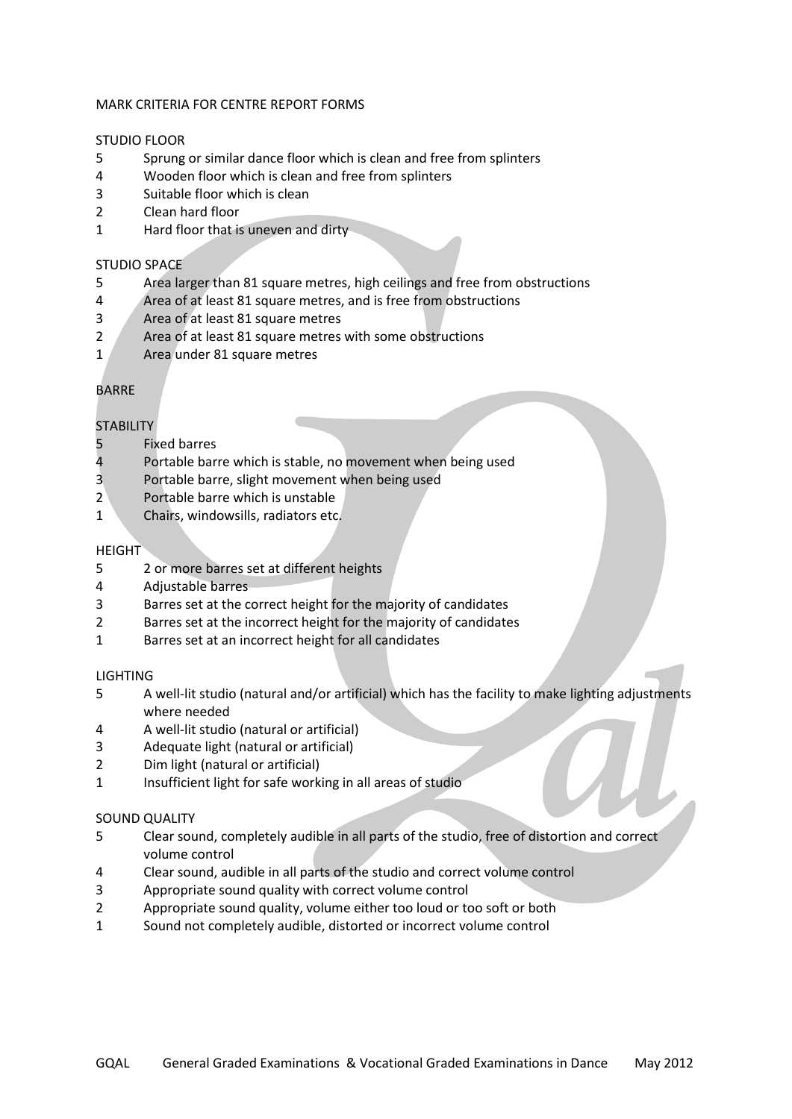### MARK CRITERIA FOR CENTRE REPORT FORMS

#### STUDIO FLOOR

- Sprung or similar dance floor which is clean and free from splinters
- Wooden floor which is clean and free from splinters
- Suitable floor which is clean
- Clean hard floor
- Hard floor that is uneven and dirty

### STUDIO SPACE

- Area larger than 81 square metres, high ceilings and free from obstructions
- Area of at least 81 square metres, and is free from obstructions
- Area of at least 81 square metres
- Area of at least 81 square metres with some obstructions
- 1 Area under 81 square metres

## BARRE

## **STABILITY**

- Fixed barres
- Portable barre which is stable, no movement when being used
- Portable barre, slight movement when being used
- Portable barre which is unstable
- Chairs, windowsills, radiators etc.

### **HEIGHT**

- 2 or more barres set at different heights
- Adjustable barres
- Barres set at the correct height for the majority of candidates
- Barres set at the incorrect height for the majority of candidates
- Barres set at an incorrect height for all candidates

### LIGHTING

- A well-lit studio (natural and/or artificial) which has the facility to make lighting adjustments where needed
- A well-lit studio (natural or artificial)
- Adequate light (natural or artificial)
- Dim light (natural or artificial)
- Insufficient light for safe working in all areas of studio

## SOUND QUALITY

- Clear sound, completely audible in all parts of the studio, free of distortion and correct volume control
- Clear sound, audible in all parts of the studio and correct volume control
- Appropriate sound quality with correct volume control
- Appropriate sound quality, volume either too loud or too soft or both
- Sound not completely audible, distorted or incorrect volume control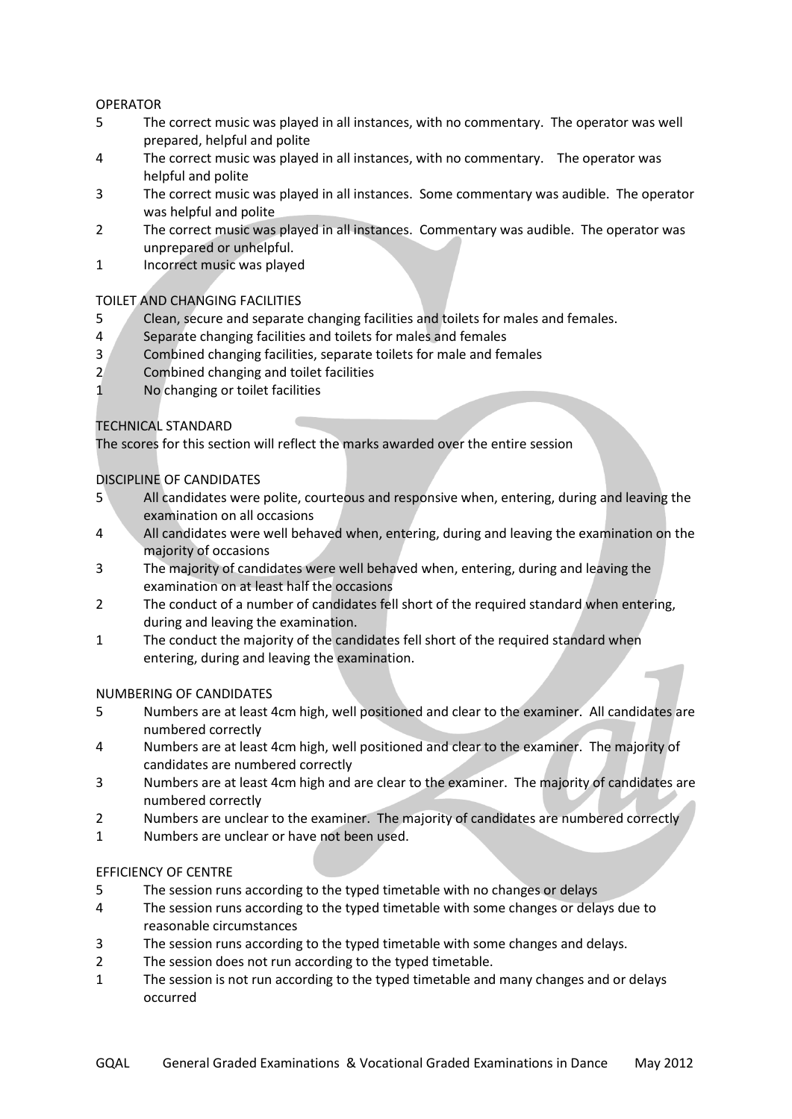## OPERATOR

- 5 The correct music was played in all instances, with no commentary. The operator was well prepared, helpful and polite
- 4 The correct music was played in all instances, with no commentary. The operator was helpful and polite
- 3 The correct music was played in all instances. Some commentary was audible. The operator was helpful and polite
- 2 The correct music was played in all instances. Commentary was audible. The operator was unprepared or unhelpful.
- 1 Incorrect music was played

## TOILET AND CHANGING FACILITIES

- 5 Clean, secure and separate changing facilities and toilets for males and females.
- 4 Separate changing facilities and toilets for males and females
- 3 Combined changing facilities, separate toilets for male and females
- 2 Combined changing and toilet facilities
- 1 No changing or toilet facilities

## TECHNICAL STANDARD

The scores for this section will reflect the marks awarded over the entire session

## DISCIPLINE OF CANDIDATES

- 5 All candidates were polite, courteous and responsive when, entering, during and leaving the examination on all occasions
- 4 All candidates were well behaved when, entering, during and leaving the examination on the majority of occasions
- 3 The majority of candidates were well behaved when, entering, during and leaving the examination on at least half the occasions
- 2 The conduct of a number of candidates fell short of the required standard when entering, during and leaving the examination.
- 1 The conduct the majority of the candidates fell short of the required standard when entering, during and leaving the examination.

### NUMBERING OF CANDIDATES

- 5 Numbers are at least 4cm high, well positioned and clear to the examiner. All candidates are numbered correctly
- 4 Numbers are at least 4cm high, well positioned and clear to the examiner. The majority of candidates are numbered correctly
- 3 Numbers are at least 4cm high and are clear to the examiner. The majority of candidates are numbered correctly
- 2 Numbers are unclear to the examiner. The majority of candidates are numbered correctly
- 1 Numbers are unclear or have not been used.

### EFFICIENCY OF CENTRE

- 5 The session runs according to the typed timetable with no changes or delays
- 4 The session runs according to the typed timetable with some changes or delays due to reasonable circumstances
- 3 The session runs according to the typed timetable with some changes and delays.
- 2 The session does not run according to the typed timetable.
- 1 The session is not run according to the typed timetable and many changes and or delays occurred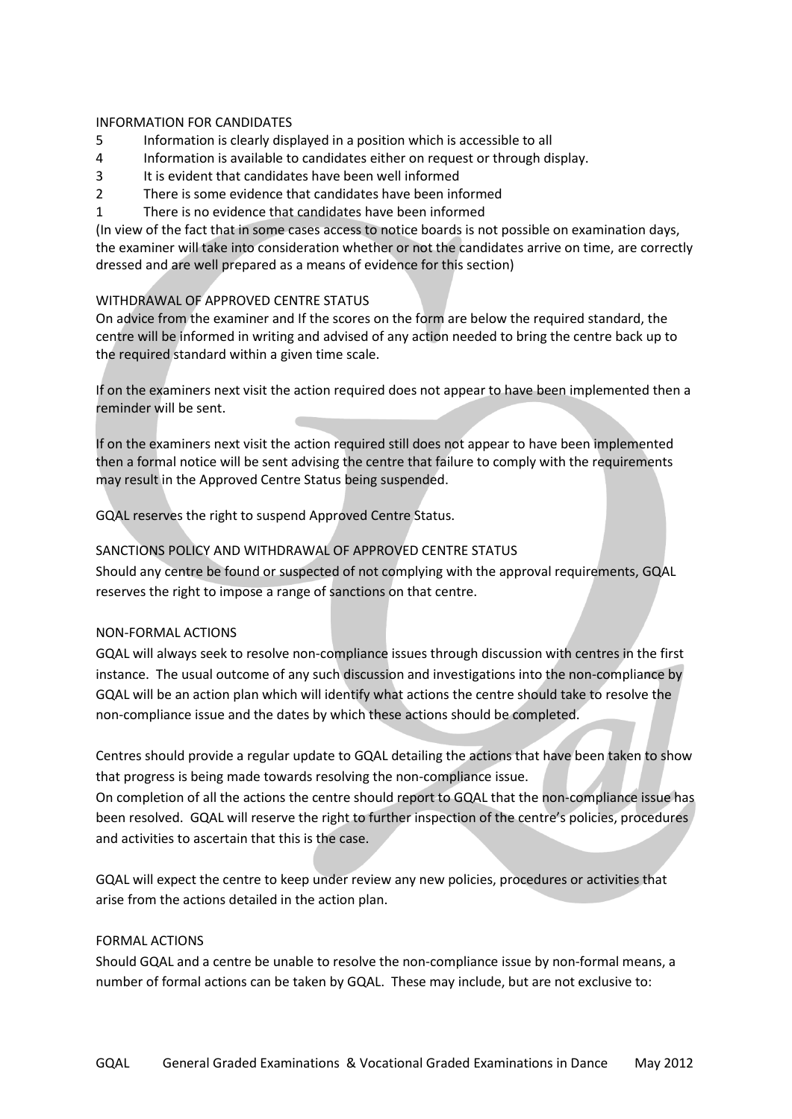### INFORMATION FOR CANDIDATES

- 5 Information is clearly displayed in a position which is accessible to all
- 4 Information is available to candidates either on request or through display.
- 3 It is evident that candidates have been well informed
- 2 There is some evidence that candidates have been informed
- 1 There is no evidence that candidates have been informed

(In view of the fact that in some cases access to notice boards is not possible on examination days, the examiner will take into consideration whether or not the candidates arrive on time, are correctly dressed and are well prepared as a means of evidence for this section)

## WITHDRAWAL OF APPROVED CENTRE STATUS

On advice from the examiner and If the scores on the form are below the required standard, the centre will be informed in writing and advised of any action needed to bring the centre back up to the required standard within a given time scale.

If on the examiners next visit the action required does not appear to have been implemented then a reminder will be sent.

If on the examiners next visit the action required still does not appear to have been implemented then a formal notice will be sent advising the centre that failure to comply with the requirements may result in the Approved Centre Status being suspended.

GQAL reserves the right to suspend Approved Centre Status.

# SANCTIONS POLICY AND WITHDRAWAL OF APPROVED CENTRE STATUS

Should any centre be found or suspected of not complying with the approval requirements, GQAL reserves the right to impose a range of sanctions on that centre.

### NON-FORMAL ACTIONS

GQAL will always seek to resolve non-compliance issues through discussion with centres in the first instance. The usual outcome of any such discussion and investigations into the non-compliance by GQAL will be an action plan which will identify what actions the centre should take to resolve the non-compliance issue and the dates by which these actions should be completed.

Centres should provide a regular update to GQAL detailing the actions that have been taken to show that progress is being made towards resolving the non-compliance issue.

On completion of all the actions the centre should report to GQAL that the non-compliance issue has been resolved. GQAL will reserve the right to further inspection of the centre's policies, procedures and activities to ascertain that this is the case.

GQAL will expect the centre to keep under review any new policies, procedures or activities that arise from the actions detailed in the action plan.

### FORMAL ACTIONS

Should GQAL and a centre be unable to resolve the non-compliance issue by non-formal means, a number of formal actions can be taken by GQAL. These may include, but are not exclusive to: